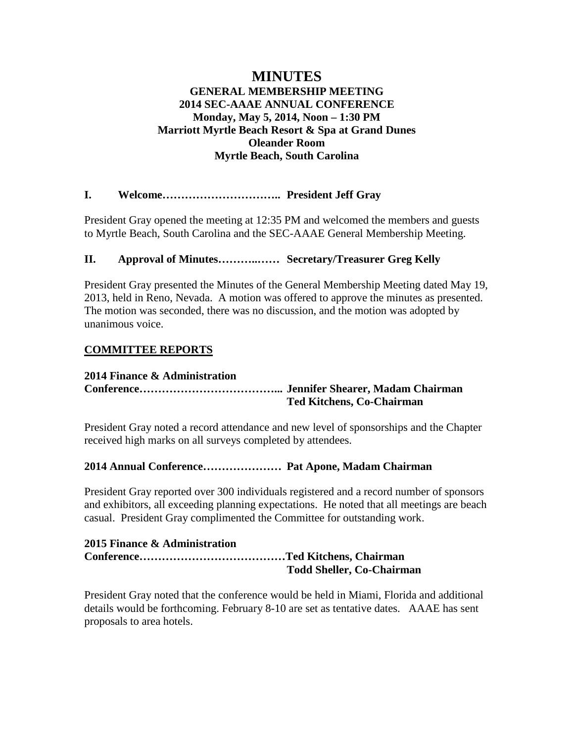# **MINUTES GENERAL MEMBERSHIP MEETING 2014 SEC-AAAE ANNUAL CONFERENCE Monday, May 5, 2014, Noon – 1:30 PM Marriott Myrtle Beach Resort & Spa at Grand Dunes Oleander Room Myrtle Beach, South Carolina**

# **I. Welcome………………………….. President Jeff Gray**

President Gray opened the meeting at 12:35 PM and welcomed the members and guests to Myrtle Beach, South Carolina and the SEC-AAAE General Membership Meeting.

# **II. Approval of Minutes………..…… Secretary/Treasurer Greg Kelly**

President Gray presented the Minutes of the General Membership Meeting dated May 19, 2013, held in Reno, Nevada. A motion was offered to approve the minutes as presented. The motion was seconded, there was no discussion, and the motion was adopted by unanimous voice.

# **COMMITTEE REPORTS**

## **2014 Finance & Administration**

# **Conference………………………………... Jennifer Shearer, Madam Chairman Ted Kitchens, Co-Chairman**

President Gray noted a record attendance and new level of sponsorships and the Chapter received high marks on all surveys completed by attendees.

## **2014 Annual Conference………………… Pat Apone, Madam Chairman**

President Gray reported over 300 individuals registered and a record number of sponsors and exhibitors, all exceeding planning expectations. He noted that all meetings are beach casual. President Gray complimented the Committee for outstanding work.

#### **2015 Finance & Administration Conference…………………………………Ted Kitchens, Chairman Todd Sheller, Co-Chairman**

President Gray noted that the conference would be held in Miami, Florida and additional details would be forthcoming. February 8-10 are set as tentative dates. AAAE has sent proposals to area hotels.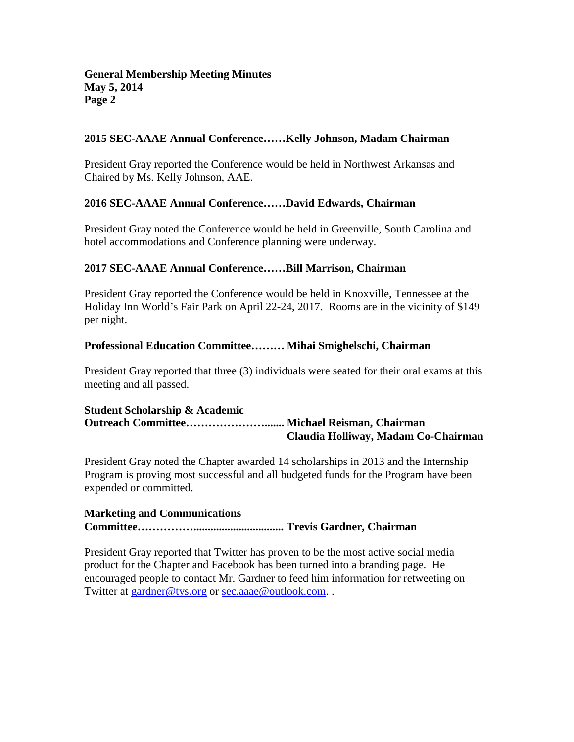## **2015 SEC-AAAE Annual Conference……Kelly Johnson, Madam Chairman**

President Gray reported the Conference would be held in Northwest Arkansas and Chaired by Ms. Kelly Johnson, AAE.

## **2016 SEC-AAAE Annual Conference……David Edwards, Chairman**

President Gray noted the Conference would be held in Greenville, South Carolina and hotel accommodations and Conference planning were underway.

## **2017 SEC-AAAE Annual Conference……Bill Marrison, Chairman**

President Gray reported the Conference would be held in Knoxville, Tennessee at the Holiday Inn World's Fair Park on April 22-24, 2017. Rooms are in the vicinity of \$149 per night.

# **Professional Education Committee……… Mihai Smighelschi, Chairman**

President Gray reported that three (3) individuals were seated for their oral exams at this meeting and all passed.

#### **Student Scholarship & Academic Outreach Committee…………………....... Michael Reisman, Chairman Claudia Holliway, Madam Co-Chairman**

President Gray noted the Chapter awarded 14 scholarships in 2013 and the Internship Program is proving most successful and all budgeted funds for the Program have been expended or committed.

## **Marketing and Communications Committee……………................................ Trevis Gardner, Chairman**

President Gray reported that Twitter has proven to be the most active social media product for the Chapter and Facebook has been turned into a branding page. He encouraged people to contact Mr. Gardner to feed him information for retweeting on Twitter at [gardner@tys.org](mailto:gardner@tys.org) or [sec.aaae@outlook.com.](mailto:sec.aaae@outlook.com).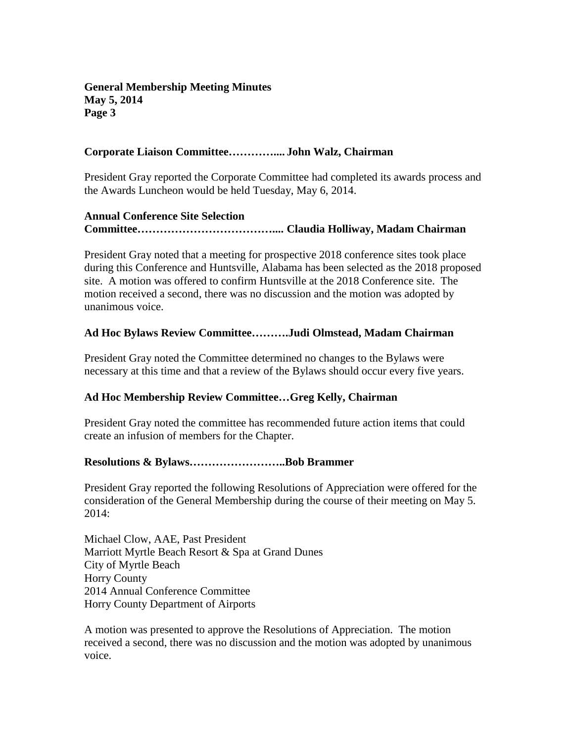## **Corporate Liaison Committee………….... John Walz, Chairman**

President Gray reported the Corporate Committee had completed its awards process and the Awards Luncheon would be held Tuesday, May 6, 2014.

# **Annual Conference Site Selection Committee……………………………….... Claudia Holliway, Madam Chairman**

President Gray noted that a meeting for prospective 2018 conference sites took place during this Conference and Huntsville, Alabama has been selected as the 2018 proposed site. A motion was offered to confirm Huntsville at the 2018 Conference site. The motion received a second, there was no discussion and the motion was adopted by unanimous voice.

# **Ad Hoc Bylaws Review Committee……….Judi Olmstead, Madam Chairman**

President Gray noted the Committee determined no changes to the Bylaws were necessary at this time and that a review of the Bylaws should occur every five years.

# **Ad Hoc Membership Review Committee…Greg Kelly, Chairman**

President Gray noted the committee has recommended future action items that could create an infusion of members for the Chapter.

## **Resolutions & Bylaws……………………..Bob Brammer**

President Gray reported the following Resolutions of Appreciation were offered for the consideration of the General Membership during the course of their meeting on May 5. 2014:

Michael Clow, AAE, Past President Marriott Myrtle Beach Resort & Spa at Grand Dunes City of Myrtle Beach Horry County 2014 Annual Conference Committee Horry County Department of Airports

A motion was presented to approve the Resolutions of Appreciation. The motion received a second, there was no discussion and the motion was adopted by unanimous voice.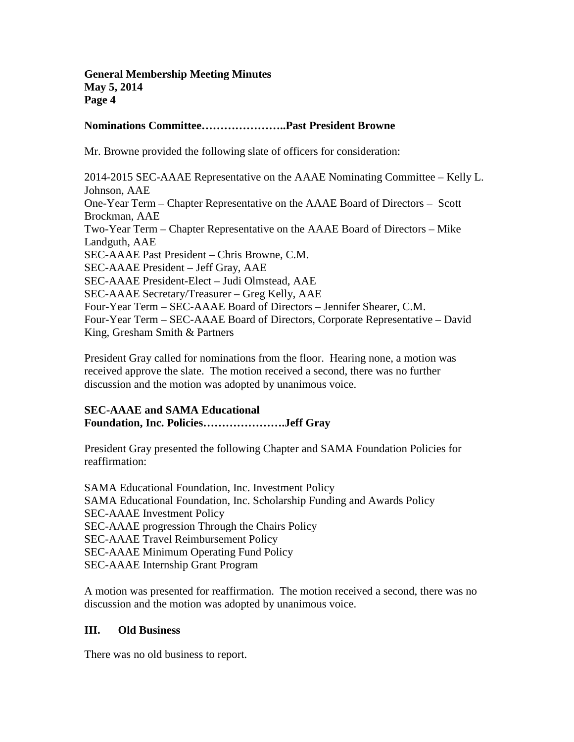## **Nominations Committee…………………..Past President Browne**

Mr. Browne provided the following slate of officers for consideration:

2014-2015 SEC-AAAE Representative on the AAAE Nominating Committee – Kelly L. Johnson, AAE One-Year Term – Chapter Representative on the AAAE Board of Directors – Scott Brockman, AAE Two-Year Term – Chapter Representative on the AAAE Board of Directors – Mike Landguth, AAE SEC-AAAE Past President – Chris Browne, C.M. SEC-AAAE President – Jeff Gray, AAE SEC-AAAE President-Elect – Judi Olmstead, AAE SEC-AAAE Secretary/Treasurer – Greg Kelly, AAE Four-Year Term – SEC-AAAE Board of Directors – Jennifer Shearer, C.M. Four-Year Term – SEC-AAAE Board of Directors, Corporate Representative – David King, Gresham Smith & Partners

President Gray called for nominations from the floor. Hearing none, a motion was received approve the slate. The motion received a second, there was no further discussion and the motion was adopted by unanimous voice.

# **SEC-AAAE and SAMA Educational Foundation, Inc. Policies………………….Jeff Gray**

President Gray presented the following Chapter and SAMA Foundation Policies for reaffirmation:

SAMA Educational Foundation, Inc. Investment Policy SAMA Educational Foundation, Inc. Scholarship Funding and Awards Policy SEC-AAAE Investment Policy SEC-AAAE progression Through the Chairs Policy SEC-AAAE Travel Reimbursement Policy SEC-AAAE Minimum Operating Fund Policy SEC-AAAE Internship Grant Program

A motion was presented for reaffirmation. The motion received a second, there was no discussion and the motion was adopted by unanimous voice.

## **III. Old Business**

There was no old business to report.